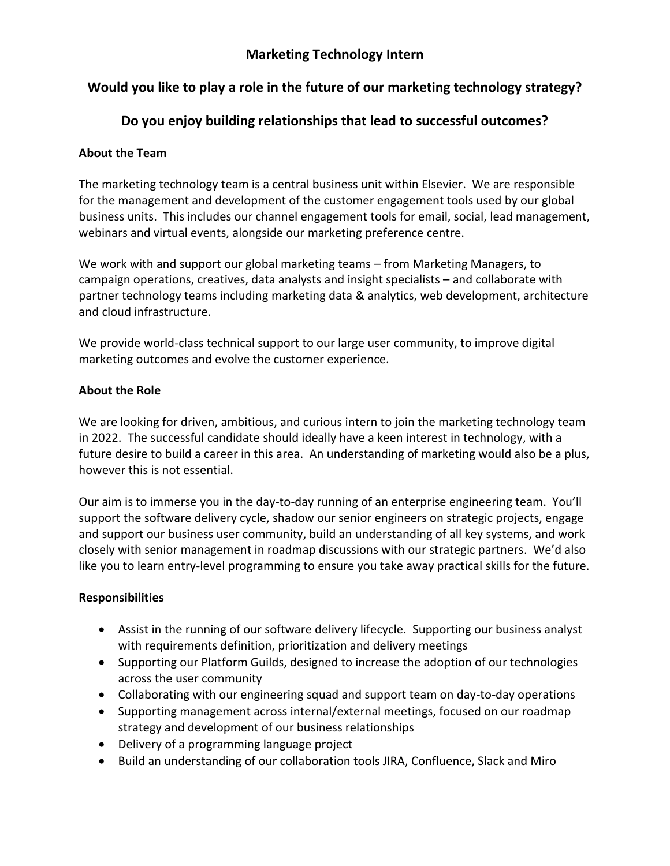## **Marketing Technology Intern**

# **Would you like to play a role in the future of our marketing technology strategy?**

# **Do you enjoy building relationships that lead to successful outcomes?**

### **About the Team**

The marketing technology team is a central business unit within Elsevier. We are responsible for the management and development of the customer engagement tools used by our global business units. This includes our channel engagement tools for email, social, lead management, webinars and virtual events, alongside our marketing preference centre.

We work with and support our global marketing teams – from Marketing Managers, to campaign operations, creatives, data analysts and insight specialists – and collaborate with partner technology teams including marketing data & analytics, web development, architecture and cloud infrastructure.

We provide world-class technical support to our large user community, to improve digital marketing outcomes and evolve the customer experience.

### **About the Role**

We are looking for driven, ambitious, and curious intern to join the marketing technology team in 2022. The successful candidate should ideally have a keen interest in technology, with a future desire to build a career in this area. An understanding of marketing would also be a plus, however this is not essential.

Our aim is to immerse you in the day-to-day running of an enterprise engineering team. You'll support the software delivery cycle, shadow our senior engineers on strategic projects, engage and support our business user community, build an understanding of all key systems, and work closely with senior management in roadmap discussions with our strategic partners. We'd also like you to learn entry-level programming to ensure you take away practical skills for the future.

### **Responsibilities**

- Assist in the running of our software delivery lifecycle. Supporting our business analyst with requirements definition, prioritization and delivery meetings
- Supporting our Platform Guilds, designed to increase the adoption of our technologies across the user community
- Collaborating with our engineering squad and support team on day-to-day operations
- Supporting management across internal/external meetings, focused on our roadmap strategy and development of our business relationships
- Delivery of a programming language project
- Build an understanding of our collaboration tools JIRA, Confluence, Slack and Miro